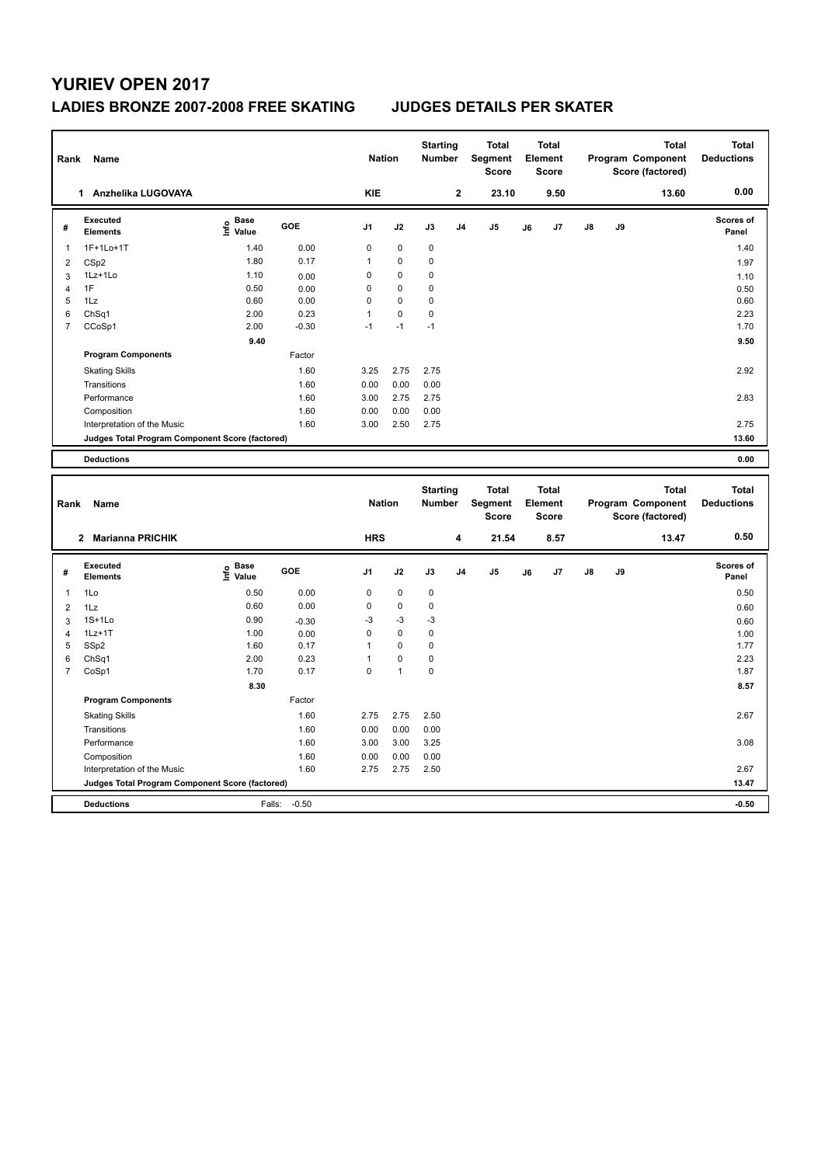# **YURIEV OPEN 2017**

### **LADIES BRONZE 2007-2008 FREE SKATING JUDGES DETAILS PER SKATER**

| Rank           | <b>Name</b>                                     |                              |         | <b>Nation</b>  |             | <b>Starting</b><br><b>Number</b> |                | <b>Total</b><br><b>Segment</b><br><b>Score</b> | Element | <b>Total</b><br><b>Score</b> |    |    | <b>Total</b><br>Program Component<br>Score (factored) | <b>Total</b><br><b>Deductions</b> |
|----------------|-------------------------------------------------|------------------------------|---------|----------------|-------------|----------------------------------|----------------|------------------------------------------------|---------|------------------------------|----|----|-------------------------------------------------------|-----------------------------------|
|                | Anzhelika LUGOVAYA<br>$\mathbf 1$               |                              |         | <b>KIE</b>     |             |                                  | $\mathbf{2}$   | 23.10                                          |         | 9.50                         |    |    | 13.60                                                 | 0.00                              |
| #              | Executed<br><b>Elements</b>                     | <b>Base</b><br>Life<br>Value | GOE     | J <sub>1</sub> | J2          | J3                               | J <sub>4</sub> | J <sub>5</sub>                                 | J6      | J7                           | J8 | J9 |                                                       | <b>Scores of</b><br>Panel         |
| 1              | $1F+1Lo+1T$                                     | 1.40                         | 0.00    | 0              | $\mathbf 0$ | $\mathbf 0$                      |                |                                                |         |                              |    |    |                                                       | 1.40                              |
| $\overline{2}$ | CSp2                                            | 1.80                         | 0.17    | 1              | 0           | 0                                |                |                                                |         |                              |    |    |                                                       | 1.97                              |
| 3              | 1Lz+1Lo                                         | 1.10                         | 0.00    | $\Omega$       | $\Omega$    | 0                                |                |                                                |         |                              |    |    |                                                       | 1.10                              |
| 4              | 1F                                              | 0.50                         | 0.00    | $\Omega$       | $\Omega$    | 0                                |                |                                                |         |                              |    |    |                                                       | 0.50                              |
| 5              | 1Lz                                             | 0.60                         | 0.00    | $\mathbf 0$    | $\Omega$    | 0                                |                |                                                |         |                              |    |    |                                                       | 0.60                              |
| 6              | ChSq1                                           | 2.00                         | 0.23    | $\mathbf{1}$   | 0           | 0                                |                |                                                |         |                              |    |    |                                                       | 2.23                              |
| $\overline{7}$ | CCoSp1                                          | 2.00                         | $-0.30$ | $-1$           | $-1$        | $-1$                             |                |                                                |         |                              |    |    |                                                       | 1.70                              |
|                |                                                 | 9.40                         |         |                |             |                                  |                |                                                |         |                              |    |    |                                                       | 9.50                              |
|                | <b>Program Components</b>                       |                              | Factor  |                |             |                                  |                |                                                |         |                              |    |    |                                                       |                                   |
|                | <b>Skating Skills</b>                           |                              | 1.60    | 3.25           | 2.75        | 2.75                             |                |                                                |         |                              |    |    |                                                       | 2.92                              |
|                | Transitions                                     |                              | 1.60    | 0.00           | 0.00        | 0.00                             |                |                                                |         |                              |    |    |                                                       |                                   |
|                | Performance                                     |                              | 1.60    | 3.00           | 2.75        | 2.75                             |                |                                                |         |                              |    |    |                                                       | 2.83                              |
|                | Composition                                     |                              | 1.60    | 0.00           | 0.00        | 0.00                             |                |                                                |         |                              |    |    |                                                       |                                   |
|                | Interpretation of the Music                     |                              | 1.60    | 3.00           | 2.50        | 2.75                             |                |                                                |         |                              |    |    |                                                       | 2.75                              |
|                | Judges Total Program Component Score (factored) |                              |         |                |             |                                  |                |                                                |         |                              |    |    |                                                       | 13.60                             |
|                | <b>Deductions</b>                               |                              |         |                |             |                                  |                |                                                |         |                              |    |    |                                                       | 0.00                              |
|                |                                                 |                              |         |                |             |                                  |                |                                                |         |                              |    |    |                                                       |                                   |
| Rank           | Name                                            |                              |         | <b>Nation</b>  |             | <b>Starting</b><br><b>Number</b> |                | <b>Total</b><br>Segment<br><b>Score</b>        | Element | <b>Total</b><br><b>Score</b> |    |    | <b>Total</b><br>Program Component<br>Score (factored) | <b>Total</b><br><b>Deductions</b> |
|                | <b>Marianna PRICHIK</b><br>$\mathbf{2}$         |                              |         | <b>HRS</b>     |             |                                  | 4              | 21.54                                          |         | 8.57                         |    |    | 13.47                                                 | 0.50                              |

| # | Executed<br><b>Elements</b>                     | <b>Base</b><br>e Base<br>⊆ Value | <b>GOE</b> | J <sub>1</sub> | J2          | J3          | J <sub>4</sub> | J5 | J6 | J7 | $\mathsf{J}8$ | J9 | Scores of<br>Panel |
|---|-------------------------------------------------|----------------------------------|------------|----------------|-------------|-------------|----------------|----|----|----|---------------|----|--------------------|
|   | 1Lo                                             | 0.50                             | 0.00       | 0              | $\mathbf 0$ | 0           |                |    |    |    |               |    | 0.50               |
| 2 | 1Lz                                             | 0.60                             | 0.00       | $\mathbf 0$    | $\mathbf 0$ | 0           |                |    |    |    |               |    | 0.60               |
| 3 | $1S+1Lo$                                        | 0.90                             | $-0.30$    | $-3$           | $-3$        | $-3$        |                |    |    |    |               |    | 0.60               |
| 4 | $1Lz+1T$                                        | 1.00                             | 0.00       | 0              | $\mathbf 0$ | 0           |                |    |    |    |               |    | 1.00               |
| 5 | SSp2                                            | 1.60                             | 0.17       |                | $\mathbf 0$ | 0           |                |    |    |    |               |    | 1.77               |
| 6 | Ch <sub>Sq1</sub>                               | 2.00                             | 0.23       |                | $\mathbf 0$ | $\mathbf 0$ |                |    |    |    |               |    | 2.23               |
| 7 | CoSp1                                           | 1.70                             | 0.17       | 0              |             | 0           |                |    |    |    |               |    | 1.87               |
|   |                                                 | 8.30                             |            |                |             |             |                |    |    |    |               |    | 8.57               |
|   | <b>Program Components</b>                       |                                  | Factor     |                |             |             |                |    |    |    |               |    |                    |
|   | <b>Skating Skills</b>                           |                                  | 1.60       | 2.75           | 2.75        | 2.50        |                |    |    |    |               |    | 2.67               |
|   | Transitions                                     |                                  | 1.60       | 0.00           | 0.00        | 0.00        |                |    |    |    |               |    |                    |
|   | Performance                                     |                                  | 1.60       | 3.00           | 3.00        | 3.25        |                |    |    |    |               |    | 3.08               |
|   | Composition                                     |                                  | 1.60       | 0.00           | 0.00        | 0.00        |                |    |    |    |               |    |                    |
|   | Interpretation of the Music                     |                                  | 1.60       | 2.75           | 2.75        | 2.50        |                |    |    |    |               |    | 2.67               |
|   | Judges Total Program Component Score (factored) |                                  |            |                |             |             |                |    |    |    |               |    | 13.47              |
|   | <b>Deductions</b>                               | Falls:                           | $-0.50$    |                |             |             |                |    |    |    |               |    | $-0.50$            |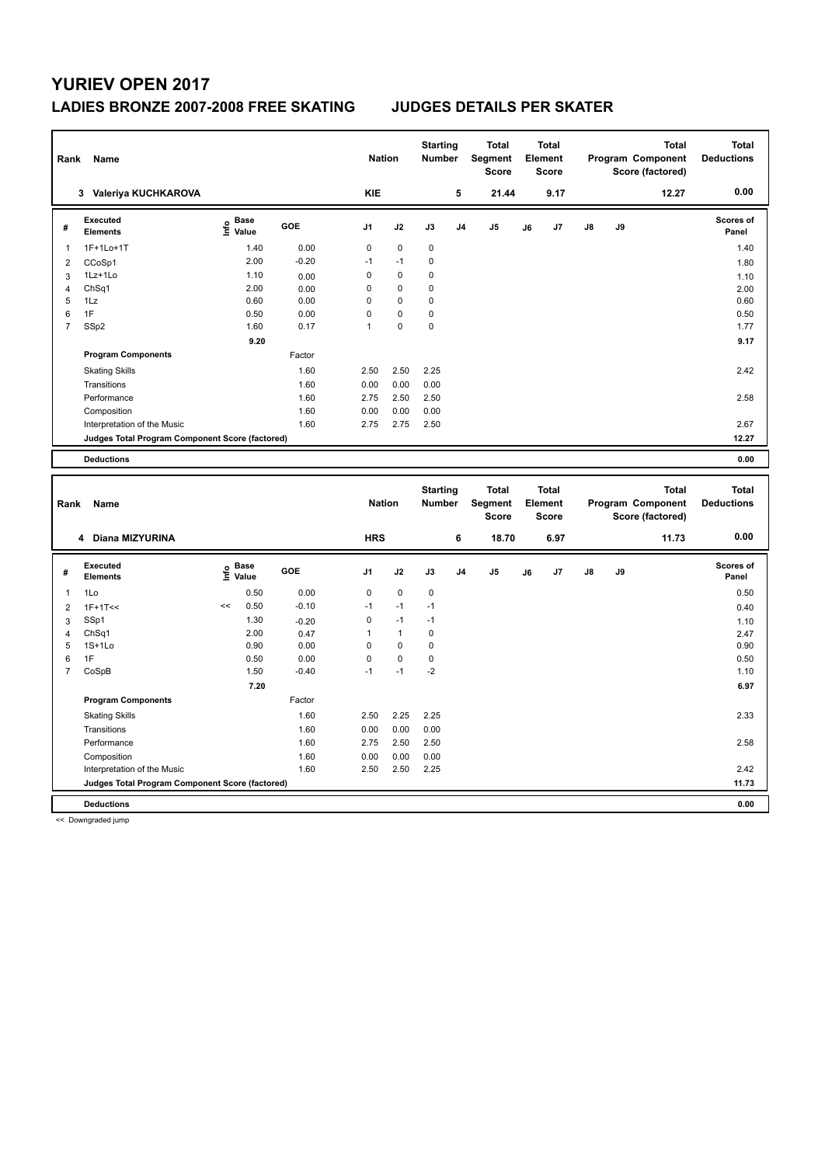# **YURIEV OPEN 2017**

### **LADIES BRONZE 2007-2008 FREE SKATING JUDGES DETAILS PER SKATER**

| Rank           | Name                                            |                                  |         | <b>Nation</b>  |             | <b>Starting</b><br><b>Number</b> |                | <b>Total</b><br>Segment<br><b>Score</b> |    | <b>Total</b><br>Element<br><b>Score</b> |               |    | <b>Total</b><br>Program Component<br>Score (factored) | <b>Total</b><br><b>Deductions</b> |
|----------------|-------------------------------------------------|----------------------------------|---------|----------------|-------------|----------------------------------|----------------|-----------------------------------------|----|-----------------------------------------|---------------|----|-------------------------------------------------------|-----------------------------------|
|                | 3 Valeriya KUCHKAROVA                           |                                  |         | <b>KIE</b>     |             |                                  | 5              | 21.44                                   |    | 9.17                                    |               |    | 12.27                                                 | 0.00                              |
| #              | Executed<br><b>Elements</b>                     | <b>Base</b><br>e Base<br>E Value | GOE     | J <sub>1</sub> | J2          | J3                               | J <sub>4</sub> | J <sub>5</sub>                          | J6 | J7                                      | $\mathsf{J}8$ | J9 |                                                       | <b>Scores of</b><br>Panel         |
| 1              | 1F+1Lo+1T                                       | 1.40                             | 0.00    | 0              | $\mathbf 0$ | $\pmb{0}$                        |                |                                         |    |                                         |               |    |                                                       | 1.40                              |
| 2              | CCoSp1                                          | 2.00                             | $-0.20$ | $-1$           | $-1$        | 0                                |                |                                         |    |                                         |               |    |                                                       | 1.80                              |
| 3              | 1Lz+1Lo                                         | 1.10                             | 0.00    | 0              | $\mathbf 0$ | 0                                |                |                                         |    |                                         |               |    |                                                       | 1.10                              |
| 4              | ChSq1                                           | 2.00                             | 0.00    | 0              | $\mathbf 0$ | $\mathbf 0$                      |                |                                         |    |                                         |               |    |                                                       | 2.00                              |
| 5              | 1Lz                                             | 0.60                             | 0.00    | $\Omega$       | $\mathbf 0$ | 0                                |                |                                         |    |                                         |               |    |                                                       | 0.60                              |
| 6              | 1F                                              | 0.50                             | 0.00    | $\Omega$       | $\Omega$    | 0                                |                |                                         |    |                                         |               |    |                                                       | 0.50                              |
| $\overline{7}$ | SSp2                                            | 1.60                             | 0.17    | 1              | $\pmb{0}$   | 0                                |                |                                         |    |                                         |               |    |                                                       | 1.77                              |
|                |                                                 | 9.20                             |         |                |             |                                  |                |                                         |    |                                         |               |    |                                                       | 9.17                              |
|                | <b>Program Components</b>                       |                                  | Factor  |                |             |                                  |                |                                         |    |                                         |               |    |                                                       |                                   |
|                | <b>Skating Skills</b>                           |                                  | 1.60    | 2.50           | 2.50        | 2.25                             |                |                                         |    |                                         |               |    |                                                       | 2.42                              |
|                | Transitions                                     |                                  | 1.60    | 0.00           | 0.00        | 0.00                             |                |                                         |    |                                         |               |    |                                                       |                                   |
|                | Performance                                     |                                  | 1.60    | 2.75           | 2.50        | 2.50                             |                |                                         |    |                                         |               |    |                                                       | 2.58                              |
|                | Composition                                     |                                  | 1.60    | 0.00           | 0.00        | 0.00                             |                |                                         |    |                                         |               |    |                                                       |                                   |
|                | Interpretation of the Music                     |                                  | 1.60    | 2.75           | 2.75        | 2.50                             |                |                                         |    |                                         |               |    |                                                       | 2.67                              |
|                | Judges Total Program Component Score (factored) |                                  |         |                |             |                                  |                |                                         |    |                                         |               |    |                                                       | 12.27                             |
|                | <b>Deductions</b>                               |                                  |         |                |             |                                  |                |                                         |    |                                         |               |    |                                                       | 0.00                              |
|                |                                                 |                                  |         |                |             |                                  |                |                                         |    |                                         |               |    |                                                       |                                   |
|                |                                                 |                                  |         |                |             | <b>Starting</b>                  |                | <b>Total</b>                            |    | <b>Total</b>                            |               |    | <b>Total</b>                                          | <b>Total</b>                      |

|                | Name<br>Rank                                    |    |                           |            | <b>Nation</b>  |              | Starting<br><b>Number</b> |                | тотаг<br>Segment<br>Score | ιοται<br>Element<br><b>Score</b> |      |               |    | ιοται<br>Program Component<br>Score (factored) | ιοται<br><b>Deductions</b> |
|----------------|-------------------------------------------------|----|---------------------------|------------|----------------|--------------|---------------------------|----------------|---------------------------|----------------------------------|------|---------------|----|------------------------------------------------|----------------------------|
|                | 4 Diana MIZYURINA                               |    |                           |            | <b>HRS</b>     |              |                           | 6              | 18.70                     |                                  | 6.97 |               |    | 11.73                                          | 0.00                       |
| #              | Executed<br><b>Elements</b>                     |    | Base<br>e Base<br>⊆ Value | <b>GOE</b> | J <sub>1</sub> | J2           | J3                        | J <sub>4</sub> | J <sub>5</sub>            | J6                               | J7   | $\mathsf{J}8$ | J9 |                                                | <b>Scores of</b><br>Panel  |
| 1              | 1Lo                                             |    | 0.50                      | 0.00       | 0              | $\mathbf 0$  | $\mathbf 0$               |                |                           |                                  |      |               |    |                                                | 0.50                       |
| 2              | $1F+1T<<$                                       | << | 0.50                      | $-0.10$    | $-1$           | $-1$         | $-1$                      |                |                           |                                  |      |               |    |                                                | 0.40                       |
| 3              | SSp1                                            |    | 1.30                      | $-0.20$    | 0              | $-1$         | $-1$                      |                |                           |                                  |      |               |    |                                                | 1.10                       |
| 4              | Ch <sub>Sq1</sub>                               |    | 2.00                      | 0.47       | 1              | $\mathbf{1}$ | $\mathbf 0$               |                |                           |                                  |      |               |    |                                                | 2.47                       |
| 5              | $1S+1L0$                                        |    | 0.90                      | 0.00       | 0              | $\mathbf 0$  | 0                         |                |                           |                                  |      |               |    |                                                | 0.90                       |
| 6              | 1F                                              |    | 0.50                      | 0.00       | 0              | $\mathbf 0$  | 0                         |                |                           |                                  |      |               |    |                                                | 0.50                       |
| $\overline{7}$ | CoSpB                                           |    | 1.50                      | $-0.40$    | $-1$           | $-1$         | $-2$                      |                |                           |                                  |      |               |    |                                                | 1.10                       |
|                |                                                 |    | 7.20                      |            |                |              |                           |                |                           |                                  |      |               |    |                                                | 6.97                       |
|                | <b>Program Components</b>                       |    |                           | Factor     |                |              |                           |                |                           |                                  |      |               |    |                                                |                            |
|                | <b>Skating Skills</b>                           |    |                           | 1.60       | 2.50           | 2.25         | 2.25                      |                |                           |                                  |      |               |    |                                                | 2.33                       |
|                | Transitions                                     |    |                           | 1.60       | 0.00           | 0.00         | 0.00                      |                |                           |                                  |      |               |    |                                                |                            |
|                | Performance                                     |    |                           | 1.60       | 2.75           | 2.50         | 2.50                      |                |                           |                                  |      |               |    |                                                | 2.58                       |
|                | Composition                                     |    |                           | 1.60       | 0.00           | 0.00         | 0.00                      |                |                           |                                  |      |               |    |                                                |                            |
|                | Interpretation of the Music                     |    |                           | 1.60       | 2.50           | 2.50         | 2.25                      |                |                           |                                  |      |               |    |                                                | 2.42                       |
|                | Judges Total Program Component Score (factored) |    |                           |            |                |              |                           |                |                           |                                  |      |               |    |                                                | 11.73                      |
|                | <b>Deductions</b>                               |    |                           |            |                |              |                           |                |                           |                                  |      |               |    |                                                | 0.00                       |

<< Downgraded jump